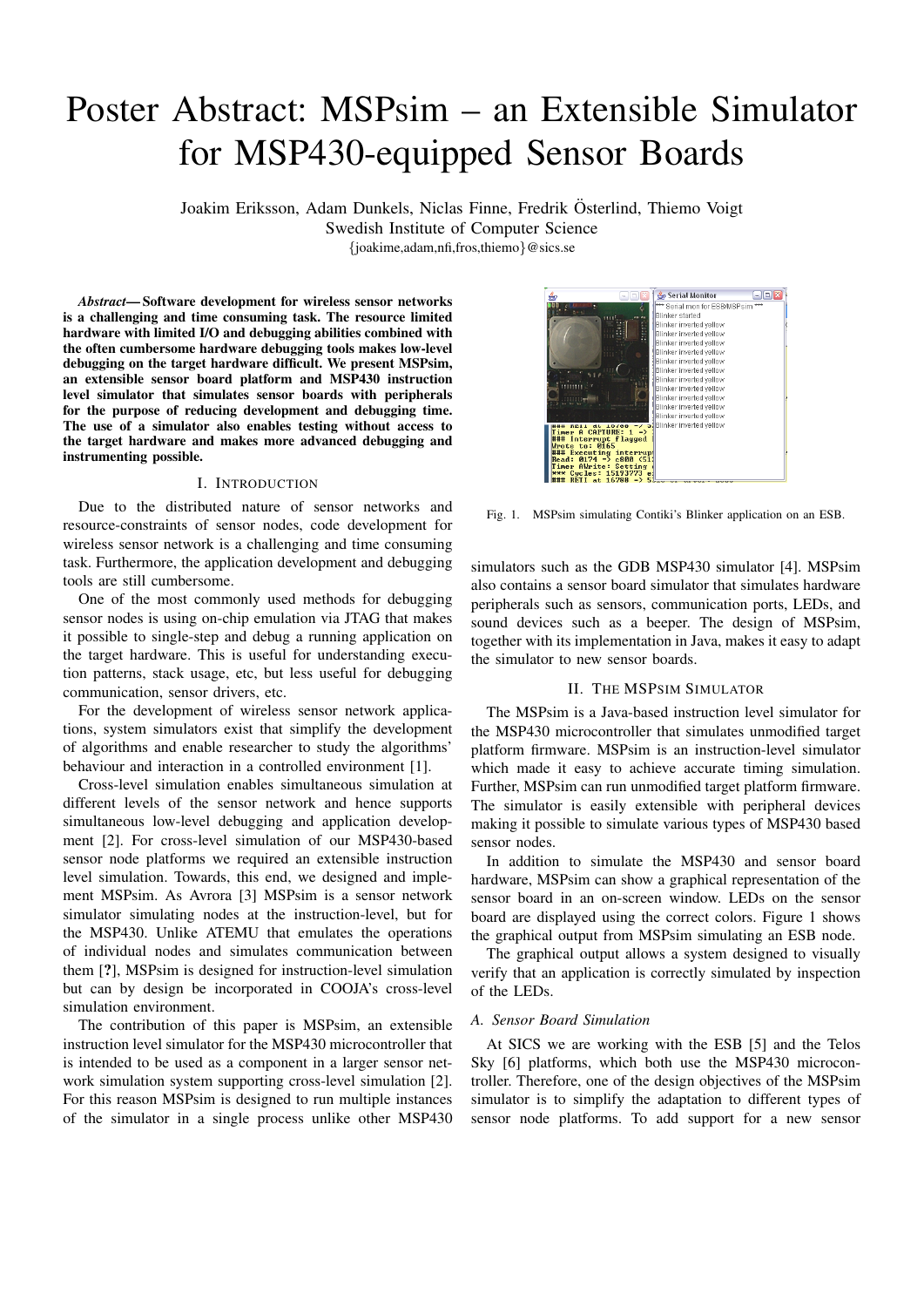# Poster Abstract: MSPsim – an Extensible Simulator for MSP430-equipped Sensor Boards

Joakim Eriksson, Adam Dunkels, Niclas Finne, Fredrik Osterlind, Thiemo Voigt ¨

Swedish Institute of Computer Science

{joakime,adam,nfi,fros,thiemo}@sics.se

*Abstract*— Software development for wireless sensor networks is a challenging and time consuming task. The resource limited hardware with limited I/O and debugging abilities combined with the often cumbersome hardware debugging tools makes low-level debugging on the target hardware difficult. We present MSPsim, an extensible sensor board platform and MSP430 instruction level simulator that simulates sensor boards with peripherals for the purpose of reducing development and debugging time. The use of a simulator also enables testing without access to the target hardware and makes more advanced debugging and instrumenting possible.

#### I. INTRODUCTION

Due to the distributed nature of sensor networks and resource-constraints of sensor nodes, code development for wireless sensor network is a challenging and time consuming task. Furthermore, the application development and debugging tools are still cumbersome.

One of the most commonly used methods for debugging sensor nodes is using on-chip emulation via JTAG that makes it possible to single-step and debug a running application on the target hardware. This is useful for understanding execution patterns, stack usage, etc, but less useful for debugging communication, sensor drivers, etc.

For the development of wireless sensor network applications, system simulators exist that simplify the development of algorithms and enable researcher to study the algorithms' behaviour and interaction in a controlled environment [1].

Cross-level simulation enables simultaneous simulation at different levels of the sensor network and hence supports simultaneous low-level debugging and application development [2]. For cross-level simulation of our MSP430-based sensor node platforms we required an extensible instruction level simulation. Towards, this end, we designed and implement MSPsim. As Avrora [3] MSPsim is a sensor network simulator simulating nodes at the instruction-level, but for the MSP430. Unlike ATEMU that emulates the operations of individual nodes and simulates communication between them [?], MSPsim is designed for instruction-level simulation but can by design be incorporated in COOJA's cross-level simulation environment.

The contribution of this paper is MSPsim, an extensible instruction level simulator for the MSP430 microcontroller that is intended to be used as a component in a larger sensor network simulation system supporting cross-level simulation [2]. For this reason MSPsim is designed to run multiple instances of the simulator in a single process unlike other MSP430



Fig. 1. MSPsim simulating Contiki's Blinker application on an ESB.

simulators such as the GDB MSP430 simulator [4]. MSPsim also contains a sensor board simulator that simulates hardware peripherals such as sensors, communication ports, LEDs, and sound devices such as a beeper. The design of MSPsim, together with its implementation in Java, makes it easy to adapt the simulator to new sensor boards.

## II. THE MSPSIM SIMULATOR

The MSPsim is a Java-based instruction level simulator for the MSP430 microcontroller that simulates unmodified target platform firmware. MSPsim is an instruction-level simulator which made it easy to achieve accurate timing simulation. Further, MSPsim can run unmodified target platform firmware. The simulator is easily extensible with peripheral devices making it possible to simulate various types of MSP430 based sensor nodes.

In addition to simulate the MSP430 and sensor board hardware, MSPsim can show a graphical representation of the sensor board in an on-screen window. LEDs on the sensor board are displayed using the correct colors. Figure 1 shows the graphical output from MSPsim simulating an ESB node.

The graphical output allows a system designed to visually verify that an application is correctly simulated by inspection of the LEDs.

#### *A. Sensor Board Simulation*

At SICS we are working with the ESB [5] and the Telos Sky [6] platforms, which both use the MSP430 microcontroller. Therefore, one of the design objectives of the MSPsim simulator is to simplify the adaptation to different types of sensor node platforms. To add support for a new sensor